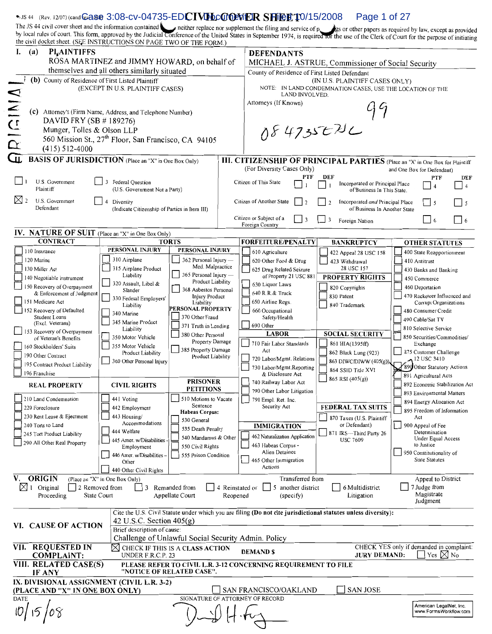I

GRIFT D/15/2008 Page 1 of 27<br>The JS 44 civil cover sheet and the information contained<br>by local rules of court. This form, approved by the Judicial Conference of the United States in September 1974, is required for the us

|                                                                                                                                                                     | $\frac{1}{2}$ . $\frac{1}{2}$ . $\frac{1}{2}$ . $\frac{1}{2}$ . $\frac{1}{2}$ . $\frac{1}{2}$ . $\frac{1}{2}$ . $\frac{1}{2}$ . $\frac{1}{2}$ . $\frac{1}{2}$ . $\frac{1}{2}$ |                                                |  |                                                                                 |                        |                                                               |                                                                              |
|---------------------------------------------------------------------------------------------------------------------------------------------------------------------|-------------------------------------------------------------------------------------------------------------------------------------------------------------------------------|------------------------------------------------|--|---------------------------------------------------------------------------------|------------------------|---------------------------------------------------------------|------------------------------------------------------------------------------|
| I.<br><b>PLAINTIFFS</b><br>(a)<br><b>DEFENDANTS</b><br>ROSA MARTINEZ and JIMMY HOWARD, on behalf of<br>MICHAEL J. ASTRUE, Commissioner of Social Security           |                                                                                                                                                                               |                                                |  |                                                                                 |                        |                                                               |                                                                              |
|                                                                                                                                                                     | themselves and all others similarly situated                                                                                                                                  |                                                |  |                                                                                 |                        |                                                               |                                                                              |
| (b) County of Residence of First Listed Plaintiff                                                                                                                   |                                                                                                                                                                               |                                                |  | County of Residence of First Listed Defendant<br>(IN U.S. PLAINTIFF CASES ONLY) |                        |                                                               |                                                                              |
| q                                                                                                                                                                   | (EXCEPT IN U.S. PLAINTIFF CASES)                                                                                                                                              |                                                |  | NOTE: IN LAND CONDEMNATION CASES, USE THE LOCATION OF THE<br>LAND INVOLVED.     |                        |                                                               |                                                                              |
|                                                                                                                                                                     |                                                                                                                                                                               | Attorneys (If Known)                           |  |                                                                                 |                        |                                                               |                                                                              |
| いにい<br>(c) Attorney's (Firm Name, Address, and Telephone Number)                                                                                                    |                                                                                                                                                                               |                                                |  |                                                                                 |                        |                                                               |                                                                              |
| DAVID FRY (SB # 189276)                                                                                                                                             |                                                                                                                                                                               |                                                |  |                                                                                 |                        |                                                               |                                                                              |
| Munger, Tolles & Olson LLP                                                                                                                                          |                                                                                                                                                                               |                                                |  |                                                                                 |                        | 084735ENC                                                     |                                                                              |
|                                                                                                                                                                     | 560 Mission St., 27 <sup>th</sup> Floor, San Francisco, CA 94105                                                                                                              |                                                |  |                                                                                 |                        |                                                               |                                                                              |
| $(415)$ 512-4000                                                                                                                                                    |                                                                                                                                                                               |                                                |  |                                                                                 |                        |                                                               |                                                                              |
| Œ<br><b>BASIS OF JURISDICTION</b> (Place an "X" in One Box Only)                                                                                                    |                                                                                                                                                                               |                                                |  |                                                                                 |                        |                                                               | III. CITIZENSHIP OF PRINCIPAL PARTIES (Place an "X' in One Box for Plaintiff |
|                                                                                                                                                                     |                                                                                                                                                                               |                                                |  | (For Diversity Cases Only)                                                      |                        |                                                               | and One Box for Defendant)                                                   |
| U.S. Government                                                                                                                                                     | <b>Federal Question</b>                                                                                                                                                       |                                                |  | Citizen of This State                                                           | PTF                    | DEF                                                           | PTF<br>DEF                                                                   |
| Plaintiff                                                                                                                                                           | (U.S. Government Not a Party)                                                                                                                                                 |                                                |  |                                                                                 |                        | Incorporated or Principal Place<br>of Business In This State. | $\overline{4}$                                                               |
| XI 2<br>U.S. Government                                                                                                                                             | Diversity                                                                                                                                                                     |                                                |  | Citizen of Another State                                                        |                        | Incorporated and Principal Place                              |                                                                              |
| Defendant                                                                                                                                                           | (Indicate Citizenship of Parties in Item III)                                                                                                                                 |                                                |  |                                                                                 |                        |                                                               | $\vert$ 5<br>of Business In Another State                                    |
|                                                                                                                                                                     |                                                                                                                                                                               |                                                |  | Citizen or Subject of a                                                         | 3                      | 3<br>Foreign Nation                                           | $ $ 6                                                                        |
|                                                                                                                                                                     |                                                                                                                                                                               |                                                |  | Foreign Country                                                                 |                        |                                                               |                                                                              |
| IV. NATURE OF SUIT (Place an "X" in One Box Only)                                                                                                                   |                                                                                                                                                                               |                                                |  |                                                                                 |                        |                                                               |                                                                              |
| <b>CONTRACT</b>                                                                                                                                                     | PERSONAL INJURY                                                                                                                                                               | <b>TORTS</b><br>PERSONAL INJURY                |  | <b>FORFEITURE/PENALTY</b>                                                       |                        | <b>BANKRUPTCY</b>                                             | <b>OTHER STATUTES</b>                                                        |
| 110 Insurance                                                                                                                                                       |                                                                                                                                                                               |                                                |  | 610 Agriculture                                                                 |                        | 422 Appeal 28 USC 158                                         | 400 State Reapportionment                                                    |
| 120 Marine<br>130 Miller Act                                                                                                                                        | 310 Airplane<br>315 Airplane Product                                                                                                                                          | 362 Personal Injury -<br>Med. Malpractice      |  | 620 Other Food & Drug                                                           |                        | 423 Withdrawal<br>28 USC 157                                  | 410 Antitrust                                                                |
| 140 Negotiable Instrument                                                                                                                                           | Liability                                                                                                                                                                     | 365 Personal Injury -                          |  | 625 Drug Related Seizure                                                        | of Property 21 USC 881 | <b>PROPERTY RIGHTS</b>                                        | 430 Banks and Banking                                                        |
| 150 Recovery of Overpayment                                                                                                                                         | 320 Assault, Libel &                                                                                                                                                          | Product Liability                              |  | 630 Liquor Laws                                                                 |                        |                                                               | 450 Commerce<br>460 Deportation                                              |
| & Enforcement of Judgment                                                                                                                                           | Slander                                                                                                                                                                       | 368 Asbestos Personal<br><b>Injury Product</b> |  | 640 R.R.& Truck                                                                 |                        | 820 Copyrights<br>830 Patent                                  | 470 Racketeer Influenced and                                                 |
| 151 Medicare Act                                                                                                                                                    | 330 Federal Employers'<br>Liability                                                                                                                                           | Liability                                      |  | 650 Airline Regs.                                                               |                        | 840 Trademark                                                 | Corrupt Organizations                                                        |
| 152 Recovery of Defaulted                                                                                                                                           | 340 Marine                                                                                                                                                                    | PERSONAL PROPERTY                              |  | 660 Occupational                                                                |                        |                                                               | 480 Consumer Credit                                                          |
| Student Loans<br>(Excl. Veterans)                                                                                                                                   | 345 Marine Product                                                                                                                                                            | 370 Other Fraud                                |  | Safety/Health<br>690 Other                                                      |                        |                                                               | 490 Cable/Sat TV                                                             |
| 153 Recovery of Overpayment                                                                                                                                         | Liability                                                                                                                                                                     | 371 Truth in Lending<br>380 Other Personal     |  | <b>LABOR</b>                                                                    |                        | <b>SOCIAL SECURITY</b>                                        | 810 Selective Service                                                        |
| of Veteran's Benefits                                                                                                                                               | 350 Motor Vehicle                                                                                                                                                             | Property Damage                                |  | 710 Fair Labor Standards                                                        |                        | 861 HIA(1395ff)                                               | 850 Securities/Commodities/<br>Exchange                                      |
| 160 Stockholders' Suits                                                                                                                                             | 355 Motor Vehicle<br>Product Liability                                                                                                                                        | 385 Property Damage                            |  | Act                                                                             |                        | 862 Black Lung (923)                                          | 875 Customer Challenge                                                       |
| 190 Other Contract                                                                                                                                                  | 360 Other Personal Injury                                                                                                                                                     | Product Liability                              |  | 720 Labor/Mgmt. Relations                                                       |                        | 863 DIWC/DIWW (405(g)),                                       | 12 USC 3410                                                                  |
| 195 Contract Product Liability<br>196 Franchise                                                                                                                     |                                                                                                                                                                               |                                                |  | 730 Labor/Mgmt.Reporting                                                        |                        | 864 SSID Title XVI                                            | 890 Other Statutory Actions                                                  |
|                                                                                                                                                                     |                                                                                                                                                                               | <b>PRISONER</b>                                |  | & Disclosure Act<br>740 Railway Labor Act                                       |                        | 865 RSI $(405(g))$                                            | 891 Agricultural Acts                                                        |
| <b>REAL PROPERTY</b>                                                                                                                                                | <b>CIVIL RIGHTS</b>                                                                                                                                                           | <b>PETITIONS</b>                               |  | 790 Other Labor Litigation                                                      |                        |                                                               | 892 Economic Stabilization Act                                               |
| 210 Land Condemnation                                                                                                                                               | 441 Voting                                                                                                                                                                    | 510 Motions to Vacate                          |  | 79I Empl. Ret. Inc.                                                             |                        |                                                               | 893 Environmental Matters                                                    |
| 220 Foreclosure                                                                                                                                                     | 442 Employment                                                                                                                                                                | Sentence                                       |  | Security Act                                                                    |                        | <b>FEDERAL TAX SUITS</b>                                      | 894 Energy Allocation Act<br>895 Freedom of Information                      |
| 230 Rent Lease & Ejectment                                                                                                                                          | 443 Housing/                                                                                                                                                                  | <b>Habeas Corpus:</b><br>530 General           |  |                                                                                 |                        | 870 Taxes (U.S. Plaintiff                                     | Act                                                                          |
| 240 Torts to Land                                                                                                                                                   | Accommodations                                                                                                                                                                | 535 Death Penalty                              |  | <b>IMMIGRATION</b>                                                              |                        | or Defendant)                                                 | 900 Appeal of Fee                                                            |
| 245 Tort Product Liability                                                                                                                                          | 444 Welfare<br>445 Amer. w/Disabilities                                                                                                                                       | 540 Mandamus & Other                           |  | 462 Naturalization Application                                                  |                        | 871 IRS-Third Party 26<br><b>USC 7609</b>                     | Determination<br>Under Equal Access                                          |
| 290 All Other Real Property                                                                                                                                         | Employment                                                                                                                                                                    | 550 Civil Rights                               |  | 463 Habeas Corpus -                                                             |                        |                                                               | to Justice                                                                   |
|                                                                                                                                                                     | 446 Amer. w/Disabilities -                                                                                                                                                    | 555 Prison Condition                           |  | Alien Detainee                                                                  |                        |                                                               | 950 Constitutionality of                                                     |
|                                                                                                                                                                     | Other                                                                                                                                                                         |                                                |  | 465 Other Immigration<br>Actions                                                |                        |                                                               | <b>State Statutes</b>                                                        |
| 440 Other Civil Rights<br><b>ORIGIN</b><br>(Place an "X" in One Box Only)<br>Transferred from                                                                       |                                                                                                                                                                               |                                                |  |                                                                                 |                        |                                                               |                                                                              |
| Appeal to District<br>$\boxtimes$ 1 Original<br>2 Removed from<br>7 Judge from<br>Remanded from<br>another district<br>6 Multidistrict<br>3<br>4 Reinstated or<br>5 |                                                                                                                                                                               |                                                |  |                                                                                 |                        |                                                               |                                                                              |
| Magistrate<br>Proceeding<br><b>State Court</b><br>Appellate Court<br>Reopened<br>Litigation<br>(specify)                                                            |                                                                                                                                                                               |                                                |  |                                                                                 |                        |                                                               |                                                                              |
| Judgment                                                                                                                                                            |                                                                                                                                                                               |                                                |  |                                                                                 |                        |                                                               |                                                                              |
| Cite the U.S. Civil Statute under which you are filing (Do not cite jurisdictional statutes unless diversity):                                                      |                                                                                                                                                                               |                                                |  |                                                                                 |                        |                                                               |                                                                              |
| 42 U.S.C. Section $405(g)$<br>VI. CAUSE OF ACTION                                                                                                                   |                                                                                                                                                                               |                                                |  |                                                                                 |                        |                                                               |                                                                              |
| Brief description of cause:                                                                                                                                         |                                                                                                                                                                               |                                                |  |                                                                                 |                        |                                                               |                                                                              |
| Challenge of Unlawful Social Security Admin. Policy<br>VII. REQUESTED IN<br>CHECK YES only if demanded in complaint:                                                |                                                                                                                                                                               |                                                |  |                                                                                 |                        |                                                               |                                                                              |
| $\boxtimes$ CHECK IF THIS IS A CLASS ACTION<br><b>DEMANDS</b><br>Yes $\times$ No<br><b>COMPLAINT:</b><br><b>JURY DEMAND:</b><br>UNDER F.R.C.P. 23                   |                                                                                                                                                                               |                                                |  |                                                                                 |                        |                                                               |                                                                              |
| VIII. RELATED CASE(S)<br>PLEASE REFER TO CIVIL L.R. 3-12 CONCERNING REQUIREMENT TO FILE                                                                             |                                                                                                                                                                               |                                                |  |                                                                                 |                        |                                                               |                                                                              |
| "NOTICE OF RELATED CASE".<br>IF ANY                                                                                                                                 |                                                                                                                                                                               |                                                |  |                                                                                 |                        |                                                               |                                                                              |
| IX. DIVISIONAL ASSIGNMENT (CIVIL L.R. 3-2)                                                                                                                          |                                                                                                                                                                               |                                                |  |                                                                                 |                        |                                                               |                                                                              |
| (PLACE AND "X" IN ONE BOX ONLY)                                                                                                                                     |                                                                                                                                                                               |                                                |  | SAN FRANCISCO/OAKLAND                                                           |                        | <b>SAN JOSE</b>                                               |                                                                              |
| <b>DATE</b>                                                                                                                                                         |                                                                                                                                                                               |                                                |  | SIGNATURE OF ATTORNEY OF RECORD                                                 |                        |                                                               | American LegalNet, Inc.                                                      |
|                                                                                                                                                                     |                                                                                                                                                                               |                                                |  |                                                                                 |                        |                                                               | www.FormsWorkflow.com                                                        |
|                                                                                                                                                                     |                                                                                                                                                                               |                                                |  |                                                                                 |                        |                                                               |                                                                              |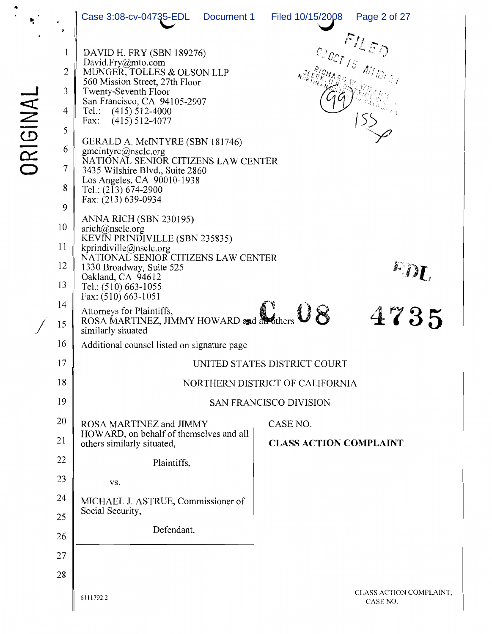|                 |                       | Document 1<br>Case 3:08-cv-04735-EDL                                                                                                                                                                                            | Filed 10/15/2008                | Page 2 of 27                  |
|-----------------|-----------------------|---------------------------------------------------------------------------------------------------------------------------------------------------------------------------------------------------------------------------------|---------------------------------|-------------------------------|
|                 | J                     |                                                                                                                                                                                                                                 |                                 |                               |
| <b>DRIGINAL</b> | 1<br>2<br>3<br>4<br>5 | DAVID H. FRY (SBN 189276)<br>David.Fry@mto.com<br>MUNGER, TOLLES & OLSON LLP<br>560 Mission Street, 27th Floor<br>Twenty-Seventh Floor<br>San Francisco, CA 94105-2907<br>$(415)$ 512-4000<br>Tel.:<br>$(415)$ 512-4077<br>Fax: |                                 | COCT IS MADIEN                |
|                 | 6<br>7<br>8           | GERALD A. McINTYRE (SBN 181746)<br>gmcintyre@nsclc.org<br>NATIONAL SENIOR CITIZENS LAW CENTER<br>3435 Wilshire Blvd., Suite 2860<br>Los Angeles, CA 90010-1938<br>Tel.: (213) 674-2900<br>Fax: (213) 639-0934                   |                                 |                               |
|                 | 9<br>10<br>11         | ANNA RICH (SBN 230195)<br>arich@nsclc.org<br>KEVIN PRINDIVILLE (SBN 235835)<br>kprindiville@nsclc.org<br>NATIONAL SENIOR CITIZENS LAW CENTER                                                                                    |                                 |                               |
|                 | 12<br>13              | 1330 Broadway, Suite 525<br>Oakland, CA 94612<br>Tel.: (510) 663-1055<br>Fax: (510) 663-1051                                                                                                                                    |                                 |                               |
|                 | 14<br>15              | Attorneys for Plaintiffs,<br>ROSA MARTINEZ, JIMMY HOWARD and all others<br>similarly situated                                                                                                                                   |                                 | 4735                          |
|                 | 16                    | Additional counsel listed on signature page                                                                                                                                                                                     |                                 |                               |
|                 | 17                    |                                                                                                                                                                                                                                 | UNITED STATES DISTRICT COURT    |                               |
|                 | 18                    |                                                                                                                                                                                                                                 | NORTHERN DISTRICT OF CALIFORNIA |                               |
|                 | 19                    |                                                                                                                                                                                                                                 | <b>SAN FRANCISCO DIVISION</b>   |                               |
|                 | 20                    | ROSA MARTINEZ and JIMMY<br>HOWARD, on behalf of themselves and all                                                                                                                                                              | CASE NO.                        |                               |
|                 | 21                    | others similarly situated,                                                                                                                                                                                                      | <b>CLASS ACTION COMPLAINT</b>   |                               |
|                 | 22                    | Plaintiffs,                                                                                                                                                                                                                     |                                 |                               |
|                 | 23                    | VS.                                                                                                                                                                                                                             |                                 |                               |
|                 | 24                    | MICHAEL J. ASTRUE, Commissioner of<br>Social Security,                                                                                                                                                                          |                                 |                               |
|                 | 25<br>26              | Defendant.                                                                                                                                                                                                                      |                                 |                               |
|                 | 27                    |                                                                                                                                                                                                                                 |                                 |                               |
|                 | 28                    |                                                                                                                                                                                                                                 |                                 |                               |
|                 |                       |                                                                                                                                                                                                                                 |                                 | <b>CLASS ACTION COMPLAINT</b> |

6111792. I

T; CASE NO.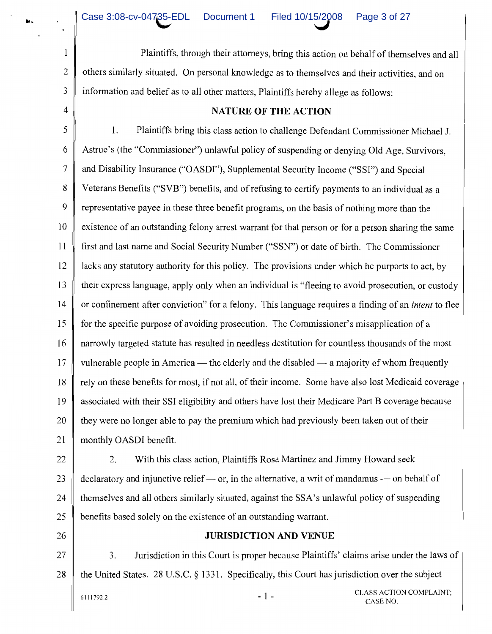Plaintiffs, through their attorneys, bring this action on behalf of themselves and all  $\mathbf{l}$  $\overline{2}$ others similarly situated. On personal knowledge as to themselves and their activities, and on  $\overline{3}$ information and belief as to all other matters, Plaintiffs hereby allege as follows:

**NATURE OF THE ACTION** 

5  $\mathbf{1}$ . Plaintiffs bring this class action to challenge Defendant Commissioner Michael J. 6 Astrue's (the "Commissioner") unlawful policy of suspending or denying Old Age, Survivors,  $\overline{7}$ and Disability Insurance ("OASDI"), Supplemental Security Income ("SSI") and Special 8 Veterans Benefits ("SVB") benefits, and of refusing to certify payments to an individual as a 9 representative payee in these three benefit programs, on the basis of nothing more than the 10 existence of an outstanding felony arrest warrant for that person or for a person sharing the same  $11$ first and last name and Social Security Number ("SSN") or date of birth. The Commissioner lacks any statutory authority for this policy. The provisions under which he purports to act, by 12 13 their express language, apply only when an individual is "fleeing to avoid prosecution, or custody  $14$ or confinement after conviction" for a felony. This language requires a finding of an *intent* to flee 15 for the specific purpose of avoiding prosecution. The Commissioner's misapplication of a 16 narrowly targeted statute has resulted in needless destitution for countless thousands of the most vulnerable people in America — the elderly and the disabled — a majority of whom frequently  $17$ 18 rely on these benefits for most, if not all, of their income. Some have also lost Medicaid coverage 19 associated with their SSI eligibility and others have lost their Medicare Part B coverage because they were no longer able to pay the premium which had previously been taken out of their 20 21 monthly OASDI benefit.

22

23

 $\overline{4}$ 

 $\overline{2}$ . With this class action, Plaintiffs Rosa Martinez and Jimmy Howard seek declaratory and injunctive relief  $\sim$  or, in the alternative, a writ of mandamus  $\sim$  on behalf of 24 themselves and all others similarly situated, against the SSA's unlawful policy of suspending benefits based solely on the existence of an outstanding warrant.

26

25

# **JURISDICTION AND VENUE**

Jurisdiction in this Court is proper because Plaintiffs' claims arise under the laws of 27 3. 28 the United States. 28 U.S.C. § 1331. Specifically, this Court has jurisdiction over the subject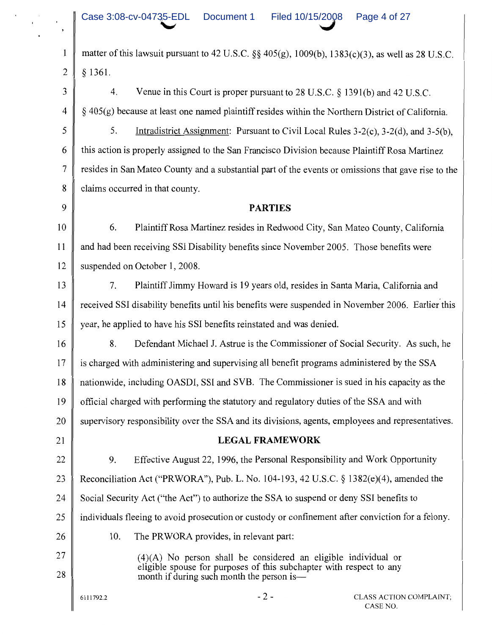Page 4 of 27

matter of this lawsuit pursuant to 42 U.S.C. §§ 405(g), 1009(b), 1383(c)(3), as well as 28 U.S.C.  $\overline{2}$  $$1361.$ 

4. Venue in this Court is proper pursuant to 28 U.S.C. § 1391(b) and 42 U.S.C.  $\S$  405(g) because at least one named plaintiff resides within the Northern District of California.

5 5. Intradistrict Assignment: Pursuant to Civil Local Rules  $3-2(c)$ ,  $3-2(d)$ , and  $3-5(b)$ . this action is properly assigned to the San Francisco Division because Plaintiff Rosa Martinez 6  $\overline{7}$ resides in San Mateo County and a substantial part of the events or omissions that gave rise to the 8 claims occurred in that county.

# **PARTIES**

6. Plaintiff Rosa Martinez resides in Redwood City, San Mateo County, California 10 11 and had been receiving SSI Disability benefits since November 2005. Those benefits were 12 suspended on October 1, 2008.

13 7. Plaintiff Jimmy Howard is 19 years old, resides in Santa Maria, California and 14 received SSI disability benefits until his benefits were suspended in November 2006. Earlier this year, he applied to have his SSI benefits reinstated and was denied. 15

8. Defendant Michael J. Astrue is the Commissioner of Social Security. As such, he 16 is charged with administering and supervising all benefit programs administered by the SSA 17 nationwide, including OASDI, SSI and SVB. The Commissioner is sued in his capacity as the 18 19 official charged with performing the statutory and regulatory duties of the SSA and with supervisory responsibility over the SSA and its divisions, agents, employees and representatives. 20

# **LEGAL FRAMEWORK**

9. 22 Effective August 22, 1996, the Personal Responsibility and Work Opportunity Reconciliation Act ("PRWORA"), Pub. L. No. 104-193, 42 U.S.C. § 1382(e)(4), amended the 23 Social Security Act ("the Act") to authorize the SSA to suspend or deny SSI benefits to 24 25 individuals fleeing to avoid prosecution or custody or confinement after conviction for a felony.

26

27

28

 $21$ 

 $\mathbf{1}$ 

3

 $\overline{4}$ 

9

- The PRWORA provides, in relevant part: 10.
	- $(4)(A)$  No person shall be considered an eligible individual or eligible spouse for purposes of this subchapter with respect to any month if during such month the person is—

6111792.2

**CLASS ACTION COMPLAINT:** CASE NO.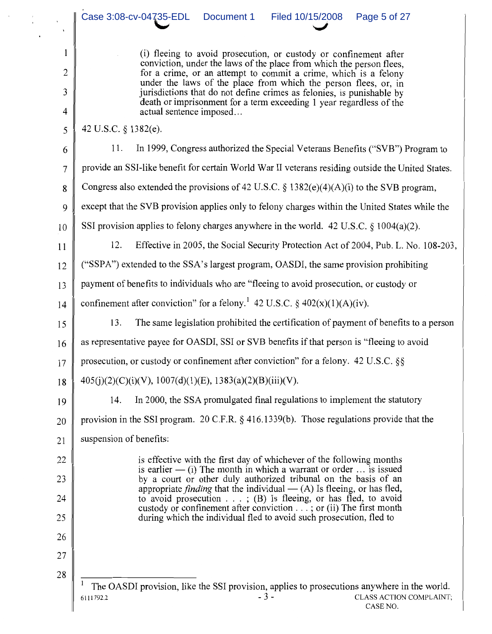1 (i) fleeing to avoid prosecution, or custody or confinement after conviction, under the laws of the place from which the person flees,  $\overline{2}$ for a crime, or an attempt to commit a crime, which is a felony under the laws of the place from which the person flees, or, in jurisdictions that do not define crimes as felonies, is punishable by 3 death or imprisonment for a term exceeding 1 year regardless of the  $\overline{4}$ actual sentence imposed... 42 U.S.C. § 1382(e). 5 In 1999, Congress authorized the Special Veterans Benefits ("SVB") Program to 11. 6 provide an SSI-like benefit for certain World War II veterans residing outside the United States.  $\overline{7}$ Congress also extended the provisions of 42 U.S.C. § 1382(e)(4)(A)(i) to the SVB program. 8 except that the SVB provision applies only to felony charges within the United States while the  $\mathsf{Q}$ SSI provision applies to felony charges anywhere in the world. 42 U.S.C.  $\&$  1004(a)(2). 10 12. Effective in 2005, the Social Security Protection Act of 2004, Pub. L. No. 108-203, 11 ("SSPA") extended to the SSA's largest program, OASDI, the same provision prohibiting 12 payment of benefits to individuals who are "fleeing to avoid prosecution, or custody or 13 confinement after conviction" for a felony.<sup>1</sup> 42 U.S.C. § 402(x)(1)(A)(iv).  $14$ 13. The same legislation prohibited the certification of payment of benefits to a person 15 as representative payee for OASDI, SSI or SVB benefits if that person is "fleeing to avoid 16 prosecution, or custody or confinement after conviction" for a felony. 42 U.S.C. §§ 17  $405(i)(2)(C)(i)(V), 1007(d)(1)(E), 1383(a)(2)(B)(iii)(V).$ 18 In 2000, the SSA promulgated final regulations to implement the statutory 14. 19 provision in the SSI program. 20 C.F.R. § 416.1339(b). Those regulations provide that the 20 suspension of benefits:  $21$ 22 is effective with the first day of whichever of the following months is earlier  $-$  (i) The month in which a warrant or order  $\dots$  is issued 23 by a court or other duly authorized tribunal on the basis of an appropriate *finding* that the individual  $-$  (A) Is fleeing, or has fled, to avoid prosecution . . . ; (B) Is fleeing, or has fled, to avoid 24 custody or confinement after conviction  $\dots$ ; or (ii) The first month 25 during which the individual fled to avoid such prosecution, fled to 26 27 28 The OASDI provision, like the SSI provision, applies to prosecutions anywhere in the world.  $-3-$ **CLASS ACTION COMPLAINT;** 6111792.2 CASE NO.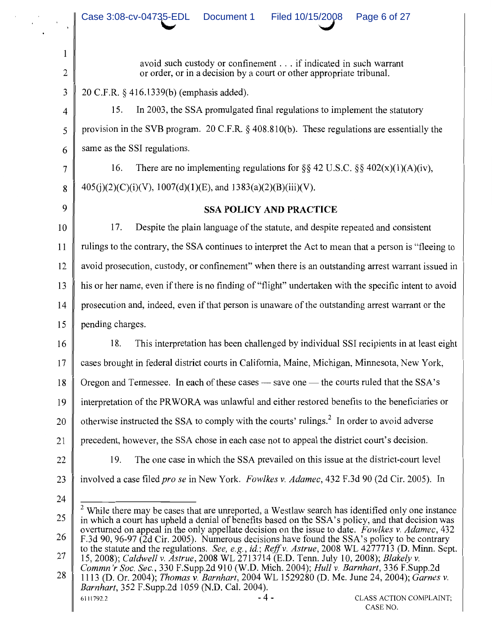6111792.2

 $\mathbf{1}$ avoid such custody or confinement . . . if indicated in such warrant  $\overline{2}$ or order, or in a decision by a court or other appropriate tribunal. 3 20 C.F.R. § 416.1339(b) (emphasis added). 15. In 2003, the SSA promulgated final regulations to implement the statutory  $\overline{4}$ provision in the SVB program. 20 C.F.R.  $\S$  408.810(b). These regulations are essentially the 5 same as the SSI regulations. 6 16. There are no implementing regulations for §§ 42 U.S.C. §§ 402(x)(1)(A)(iv),  $\overline{7}$  $405(i)(2)(C)(i)(V)$ ,  $1007(d)(1)(E)$ , and  $1383(a)(2)(B)(iii)(V)$ . 8  $\mathbf Q$ **SSA POLICY AND PRACTICE**  $17<sub>1</sub>$ Despite the plain language of the statute, and despite repeated and consistent 10 11 rulings to the contrary, the SSA continues to interpret the Act to mean that a person is "fleeing to avoid prosecution, custody, or confinement" when there is an outstanding arrest warrant issued in  $12$ 13 his or her name, even if there is no finding of "flight" undertaken with the specific intent to avoid prosecution and, indeed, even if that person is unaware of the outstanding arrest warrant or the 14 15 pending charges. 18. This interpretation has been challenged by individual SSI recipients in at least eight 16 cases brought in federal district courts in California, Maine, Michigan, Minnesota, New York, 17 18 Oregon and Tennessee. In each of these cases — save one — the courts ruled that the SSA's interpretation of the PRWORA was unlawful and either restored benefits to the beneficiaries or 19 otherwise instructed the SSA to comply with the courts' rulings.<sup>2</sup> In order to avoid adverse 20 precedent, however, the SSA chose in each case not to appeal the district court's decision. 21 22 19. The one case in which the SSA prevailed on this issue at the district-court level involved a case filed *pro se* in New York. *Fowlkes v. Adamec*, 432 F.3d 90 (2d Cir. 2005). In 23 24 <sup>2</sup> While there may be cases that are unreported, a Westlaw search has identified only one instance 25 in which a court has upheld a denial of benefits based on the SSA's policy, and that decision was overturned on appeal in the only appellate decision on the issue to date. Fowlkes v. Adamec, 432 26 F.3d 90, 96-97 ( $2d$  Cir. 2005). Numerous decisions have found the SSA's policy to be contrary to the statute and the regulations. See, e.g., id.; Reff v. Astrue, 2008 WL 4277713 (D. Minn. Sept. 15, 2008); Caldwell v. Astrue, 2008 WL 2713714 (E.D. Tenn. July 10, 2008); Blakely v. 27 Commn'r Soc. Sec., 330 F.Supp.2d 910 (W.D. Mich. 2004); Hull v. Barnhart, 336 F.Supp.2d 28 1113 (D. Or. 2004); Thomas v. Barnhart, 2004 WL 1529280 (D. Me. June 24, 2004); Garnes v. Barnhart, 352 F.Supp.2d 1059 (N.D. Cal. 2004).

 $-4-$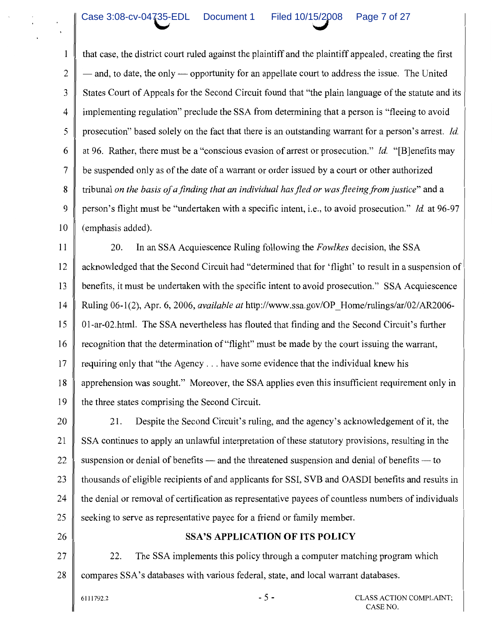that case, the district court ruled against the plaintiff and the plaintiff appealed, creating the first  $\mathbf{1}$  $\overline{2}$ — and, to date, the only — opportunity for an appellate court to address the issue. The United  $\overline{3}$ States Court of Appeals for the Second Circuit found that "the plain language of the statute and its  $\overline{4}$ implementing regulation" preclude the SSA from determining that a person is "fleeing to avoid 5 prosecution" based solely on the fact that there is an outstanding warrant for a person's arrest. Id. 6 at 96. Rather, there must be a "conscious evasion of arrest or prosecution." *Id.* "[B]enefits may  $\overline{7}$ be suspended only as of the date of a warrant or order issued by a court or other authorized 8 tribunal on the basis of a finding that an individual has fled or was fleeing from justice" and a 9 person's flight must be "undertaken with a specific intent, i.e., to avoid prosecution." *Id.* at 96-97 10 (emphasis added).

11 20. In an SSA Acquiescence Ruling following the *Fowlkes* decision, the SSA 12 acknowledged that the Second Circuit had "determined that for 'flight' to result in a suspension of 13 benefits, it must be undertaken with the specific intent to avoid prosecution." SSA Acquiescence 14 Ruling 06-1(2), Apr. 6, 2006, *available at http://www.ssa.gov/OP Home/rulings/ar/02/AR2006-*15 01-ar-02.html. The SSA nevertheless has flouted that finding and the Second Circuit's further 16 recognition that the determination of "flight" must be made by the court issuing the warrant, requiring only that "the Agency . . . have some evidence that the individual knew his  $17$ 18 apprehension was sought." Moreover, the SSA applies even this insufficient requirement only in 19 the three states comprising the Second Circuit.

20 21. Despite the Second Circuit's ruling, and the agency's acknowledgement of it, the 21 SSA continues to apply an unlawful interpretation of these statutory provisions, resulting in the 22 suspension or denial of benefits — and the threatened suspension and denial of benefits — to 23 thousands of eligible recipients of and applicants for SSI, SVB and OASDI benefits and results in the denial or removal of certification as representative payees of countless numbers of individuals 24 25 seeking to serve as representative payee for a friend or family member.

26

# **SSA'S APPLICATION OF ITS POLICY**

27 22. The SSA implements this policy through a computer matching program which 28 compares SSA's databases with various federal, state, and local warrant databases.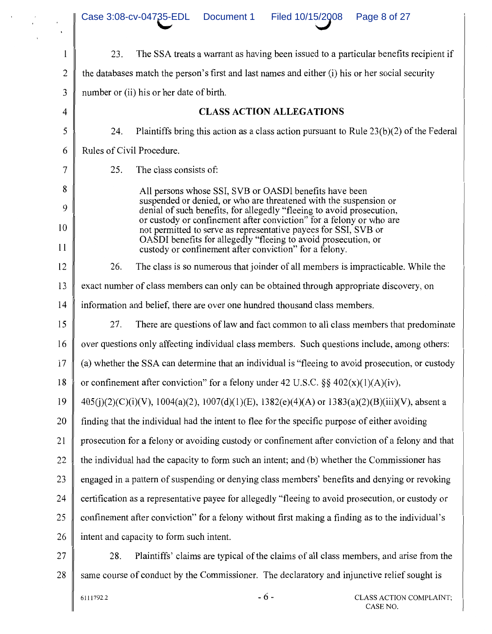|                | Case 3:08-cv-04735-EDL<br>Document 1<br>Filed 10/15/2008<br>Page 8 of 27                                                                   |  |  |  |  |  |  |
|----------------|--------------------------------------------------------------------------------------------------------------------------------------------|--|--|--|--|--|--|
| $\mathbf{l}$   | 23.<br>The SSA treats a warrant as having been issued to a particular benefits recipient if                                                |  |  |  |  |  |  |
| $\overline{c}$ | the databases match the person's first and last names and either (i) his or her social security                                            |  |  |  |  |  |  |
| 3              | number or (ii) his or her date of birth.                                                                                                   |  |  |  |  |  |  |
| 4              | <b>CLASS ACTION ALLEGATIONS</b>                                                                                                            |  |  |  |  |  |  |
| 5              | 24.<br>Plaintiffs bring this action as a class action pursuant to Rule $23(b)(2)$ of the Federal                                           |  |  |  |  |  |  |
| 6              | Rules of Civil Procedure.                                                                                                                  |  |  |  |  |  |  |
| 7              | 25.<br>The class consists of:                                                                                                              |  |  |  |  |  |  |
| 8              | All persons whose SSI, SVB or OASDI benefits have been                                                                                     |  |  |  |  |  |  |
| 9              | suspended or denied, or who are threatened with the suspension or<br>denial of such benefits, for allegedly "fleeing to avoid prosecution, |  |  |  |  |  |  |
| 10             | or custody or confinement after conviction" for a felony or who are<br>not permitted to serve as representative payees for SSI, SVB or     |  |  |  |  |  |  |
| 11             | OASDI benefits for allegedly "fleeing to avoid prosecution, or<br>custody or confinement after conviction" for a felony.                   |  |  |  |  |  |  |
| 12             | The class is so numerous that joinder of all members is impracticable. While the<br>26.                                                    |  |  |  |  |  |  |
| 13             | exact number of class members can only can be obtained through appropriate discovery, on                                                   |  |  |  |  |  |  |
| 14             | information and belief, there are over one hundred thousand class members.                                                                 |  |  |  |  |  |  |
| 15             | 27.<br>There are questions of law and fact common to all class members that predominate                                                    |  |  |  |  |  |  |
| 16             | over questions only affecting individual class members. Such questions include, among others:                                              |  |  |  |  |  |  |
| 17             | (a) whether the SSA can determine that an individual is "fleeing to avoid prosecution, or custody                                          |  |  |  |  |  |  |
| 18             | or confinement after conviction" for a felony under 42 U.S.C. §§ $402(x)(1)(A)(iv)$ ,                                                      |  |  |  |  |  |  |
| 19             | 405(j)(2)(C)(i)(V), 1004(a)(2), 1007(d)(1)(E), 1382(e)(4)(A) or 1383(a)(2)(B)(iii)(V), absent a                                            |  |  |  |  |  |  |
| 20             | finding that the individual had the intent to flee for the specific purpose of either avoiding                                             |  |  |  |  |  |  |
| 21             | prosecution for a felony or avoiding custody or confinement after conviction of a felony and that                                          |  |  |  |  |  |  |
| 22             | the individual had the capacity to form such an intent; and (b) whether the Commissioner has                                               |  |  |  |  |  |  |
| 23             | engaged in a pattern of suspending or denying class members' benefits and denying or revoking                                              |  |  |  |  |  |  |
| 24             | certification as a representative payee for allegedly "fleeing to avoid prosecution, or custody or                                         |  |  |  |  |  |  |
| 25             | confinement after conviction" for a felony without first making a finding as to the individual's                                           |  |  |  |  |  |  |
| 26             | intent and capacity to form such intent.                                                                                                   |  |  |  |  |  |  |
| 27             | 28.<br>Plaintiffs' claims are typical of the claims of all class members, and arise from the                                               |  |  |  |  |  |  |
| 28             | same course of conduct by the Commissioner. The declaratory and injunctive relief sought is                                                |  |  |  |  |  |  |

 $-6-$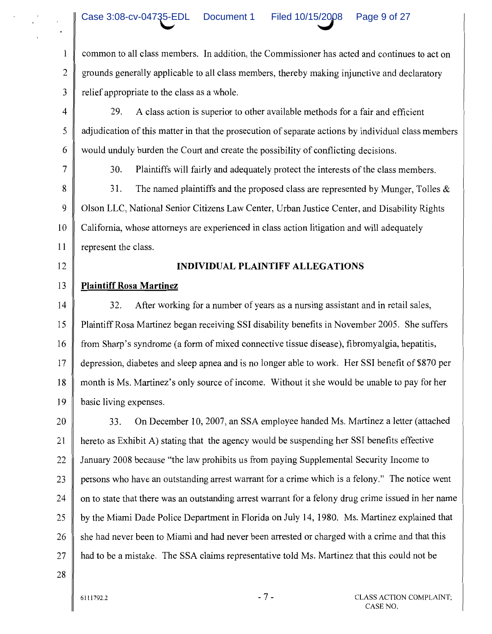$\mathbf{1}$ common to all class members. In addition, the Commissioner has acted and continues to act on  $\overline{c}$ grounds generally applicable to all class members, thereby making injunctive and declaratory  $\overline{3}$ relief appropriate to the class as a whole.

 $\overline{4}$ 29. A class action is superior to other available methods for a fair and efficient 5 adjudication of this matter in that the prosecution of separate actions by individual class members 6 would unduly burden the Court and create the possibility of conflicting decisions.

 $\overline{7}$ 

 $30.$ Plaintiffs will fairly and adequately protect the interests of the class members.

8 31. The named plaintiffs and the proposed class are represented by Munger, Tolles  $\&$ 9 Olson LLC, National Senior Citizens Law Center, Urban Justice Center, and Disability Rights 10 California, whose attorneys are experienced in class action litigation and will adequately 11 represent the class.

12

# **INDIVIDUAL PLAINTIFF ALLEGATIONS**

#### 13 **Plaintiff Rosa Martinez**

14 32. After working for a number of years as a nursing assistant and in retail sales, 15 Plaintiff Rosa Martinez began receiving SSI disability benefits in November 2005. She suffers 16 from Sharp's syndrome (a form of mixed connective tissue disease), fibromyalgia, hepatitis,  $17$ depression, diabetes and sleep apnea and is no longer able to work. Her SSI benefit of \$870 per 18 month is Ms. Martinez's only source of income. Without it she would be unable to pay for her

19 basic living expenses.

20 33. On December 10, 2007, an SSA employee handed Ms. Martinez a letter (attached hereto as Exhibit A) stating that the agency would be suspending her SSI benefits effective 21 22 January 2008 because "the law prohibits us from paying Supplemental Security Income to 23 persons who have an outstanding arrest warrant for a crime which is a felony." The notice went 24 on to state that there was an outstanding arrest warrant for a felony drug crime issued in her name 25 by the Miami Dade Police Department in Florida on July 14, 1980. Ms. Martinez explained that she had never been to Miami and had never been arrested or charged with a crime and that this 26 27 had to be a mistake. The SSA claims representative told Ms. Martinez that this could not be

28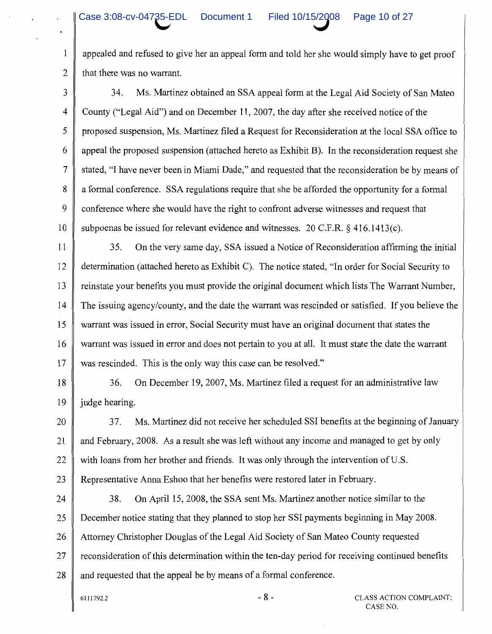$\mathbf{1}$ 

appealed and refused to give her an appeal form and told her she would simply have to get proof  $\overline{2}$ that there was no warrant.

3 34. Ms. Martinez obtained an SSA appeal form at the Legal Aid Society of San Mateo 4 County ("Legal Aid") and on December 11, 2007, the day after she received notice of the 5 proposed suspension, Ms. Martinez filed a Request for Reconsideration at the local SSA office to 6 appeal the proposed suspension (attached hereto as Exhibit B). In the reconsideration request she  $7\phantom{.0}$ stated, "I have never been in Miami Dade," and requested that the reconsideration be by means of 8 a formal conference. SSA regulations require that she be afforded the opportunity for a formal  $\mathsf{Q}$ conference where she would have the right to confront adverse witnesses and request that 10 subpoenas be issued for relevant evidence and witnesses.  $20$  C.F.R. § 416.1413(c).

11 35. On the very same day, SSA issued a Notice of Reconsideration affirming the initial 12 determination (attached hereto as Exhibit C). The notice stated, "In order for Social Security to 13 reinstate your benefits you must provide the original document which lists The Warrant Number, 14 The issuing agency/county, and the date the warrant was rescinded or satisfied. If you believe the 15 warrant was issued in error, Social Security must have an original document that states the 16 warrant was issued in error and does not pertain to you at all. It must state the date the warrant  $17$ was rescinded. This is the only way this case can be resolved."

18 36. On December 19, 2007, Ms. Martinez filed a request for an administrative law 19 judge hearing.

20 37. Ms. Martinez did not receive her scheduled SSI benefits at the beginning of January 21 and February, 2008. As a result she was left without any income and managed to get by only 22 with loans from her brother and friends. It was only through the intervention of U.S. 23 Representative Anna Eshoo that her benefits were restored later in February.

24 38. On April 15, 2008, the SSA sent Ms. Martinez another notice similar to the 25 December notice stating that they planned to stop her SSI payments beginning in May 2008. 26 Attorney Christopher Douglas of the Legal Aid Society of San Mateo County requested 27 reconsideration of this determination within the ten-day period for receiving continued benefits 28 and requested that the appeal be by means of a formal conference.

6111792.2

**CLASS ACTION COMPLAINT:** CASE NO.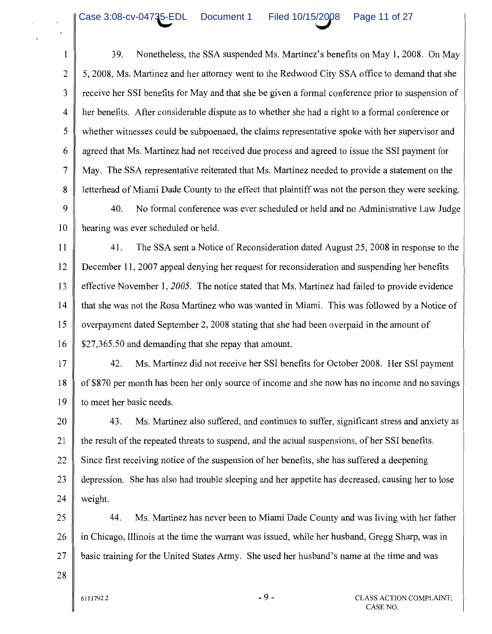$\mathbf{l}$ 39. Nonetheless, the SSA suspended Ms. Martinez's benefits on May 1, 2008. On May  $\overline{2}$ 5, 2008, Ms. Martinez and her attorney went to the Redwood City SSA office to demand that she  $\overline{3}$ receive her SSI benefits for May and that she be given a formal conference prior to suspension of  $\overline{4}$ her benefits. After considerable dispute as to whether she had a right to a formal conference or 5 whether witnesses could be subpoenaed, the claims representative spoke with her supervisor and 6 agreed that Ms. Martinez had not received due process and agreed to issue the SSI payment for  $\overline{7}$ May. The SSA representative reiterated that Ms. Martinez needed to provide a statement on the 8 letterhead of Miami Dade County to the effect that plaintiff was not the person they were seeking. 9 40. No formal conference was ever scheduled or held and no Administrative Law Judge

hearing was ever scheduled or held. 10

11 41. The SSA sent a Notice of Reconsideration dated August 25, 2008 in response to the 12 December 11, 2007 appeal denying her request for reconsideration and suspending her benefits 13 effective November 1, 2005. The notice stated that Ms. Martinez had failed to provide evidence 14 that she was not the Rosa Martinez who was wanted in Miami. This was followed by a Notice of 15 overpayment dated September 2, 2008 stating that she had been overpaid in the amount of 16 \$27,365.50 and demanding that she repay that amount.

Ms. Martinez did not receive her SSI benefits for October 2008. Her SSI payment 17 42. 18 of \$870 per month has been her only source of income and she now has no income and no savings 19 to meet her basic needs.

20 43. Ms. Martinez also suffered, and continues to suffer, significant stress and anxiety as 21 the result of the repeated threats to suspend, and the actual suspensions, of her SSI benefits. 22 Since first receiving notice of the suspension of her benefits, she has suffered a deepening 23 depression. She has also had trouble sleeping and her appetite has decreased, causing her to lose 24 weight.

25 44. Ms. Martinez has never been to Miami Dade County and was living with her father 26 in Chicago, Illinois at the time the warrant was issued, while her husband, Gregg Sharp, was in 27 basic training for the United States Army. She used her husband's name at the time and was

28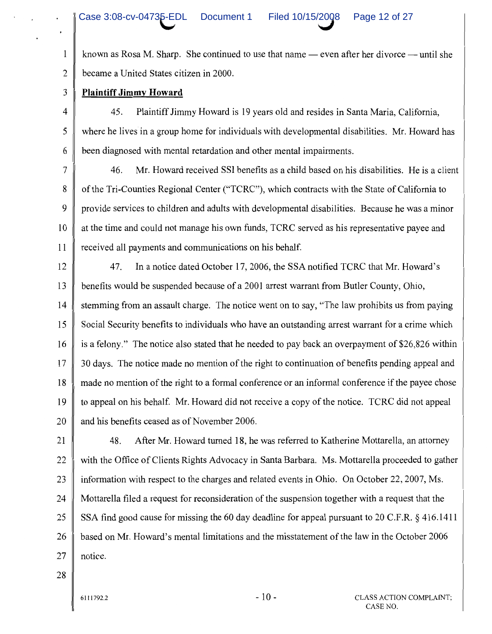known as Rosa M. Sharp. She continued to use that name  $-$  even after her divorce  $-$  until she  $\overline{2}$ became a United States citizen in 2000.

**Plaintiff Jimmy Howard** 3

 $\mathbf{1}$ 

4 45. Plaintiff Jimmy Howard is 19 years old and resides in Santa Maria, California, 5 where he lives in a group home for individuals with developmental disabilities. Mr. Howard has 6 been diagnosed with mental retardation and other mental impairments.

 $\overline{7}$ 46. Mr. Howard received SSI benefits as a child based on his disabilities. He is a client of the Tri-Counties Regional Center ("TCRC"), which contracts with the State of California to 8 9 provide services to children and adults with developmental disabilities. Because he was a minor 10 at the time and could not manage his own funds, TCRC served as his representative payee and  $11$ received all payments and communications on his behalf.

12 47. In a notice dated October 17, 2006, the SSA notified TCRC that Mr. Howard's 13 benefits would be suspended because of a 2001 arrest warrant from Butler County, Ohio, 14 stemming from an assault charge. The notice went on to say, "The law prohibits us from paying 15 Social Security benefits to individuals who have an outstanding arrest warrant for a crime which is a felony." The notice also stated that he needed to pay back an overpayment of \$26,826 within 16 17 30 days. The notice made no mention of the right to continuation of benefits pending appeal and 18 made no mention of the right to a formal conference or an informal conference if the payee chose 19 to appeal on his behalf. Mr. Howard did not receive a copy of the notice. TCRC did not appeal and his benefits ceased as of November 2006. 20

21 48. After Mr. Howard turned 18, he was referred to Katherine Mottarella, an attorney 22 with the Office of Clients Rights Advocacy in Santa Barbara. Ms. Mottarella proceeded to gather 23 information with respect to the charges and related events in Ohio. On October 22, 2007, Ms. 24 Mottarella filed a request for reconsideration of the suspension together with a request that the 25 SSA find good cause for missing the 60 day deadline for appeal pursuant to 20 C.F.R. § 416.1411 based on Mr. Howard's mental limitations and the misstatement of the law in the October 2006 26 27 notice.

28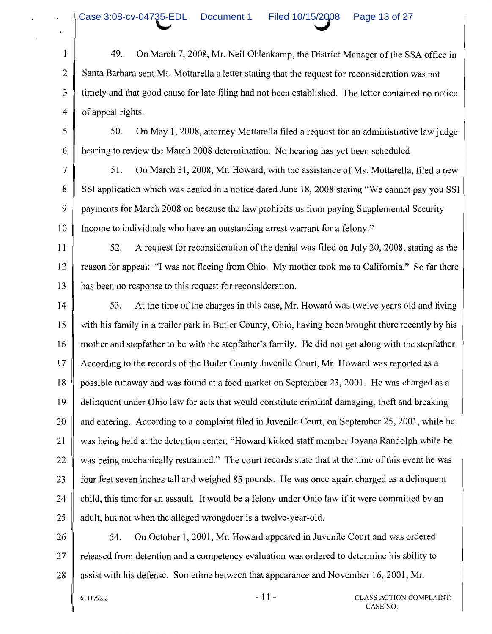$\mathbf{1}$ 49. On March 7, 2008, Mr. Neil Ohlenkamp, the District Manager of the SSA office in  $\overline{2}$ Santa Barbara sent Ms. Mottarella a letter stating that the request for reconsideration was not 3 timely and that good cause for late filing had not been established. The letter contained no notice 4 of appeal rights.

5 50. On May 1, 2008, attorney Mottarella filed a request for an administrative law judge 6 hearing to review the March 2008 determination. No hearing has yet been scheduled

 $\overline{7}$ 51. On March 31, 2008, Mr. Howard, with the assistance of Ms. Mottarella, filed a new 8 SSI application which was denied in a notice dated June 18, 2008 stating "We cannot pay you SSI 9 payments for March 2008 on because the law prohibits us from paying Supplemental Security 10 Income to individuals who have an outstanding arrest warrant for a felony."

11

52. A request for reconsideration of the denial was filed on July 20, 2008, stating as the 12 reason for appeal: "I was not fleeing from Ohio. My mother took me to California." So far there 13 has been no response to this request for reconsideration.

14 53. At the time of the charges in this case, Mr. Howard was twelve years old and living 15 with his family in a trailer park in Butler County, Ohio, having been brought there recently by his 16 mother and stepfather to be with the stepfather's family. He did not get along with the stepfather. 17 According to the records of the Butler County Juvenile Court, Mr. Howard was reported as a 18 possible runaway and was found at a food market on September 23, 2001. He was charged as a 19 delinguent under Ohio law for acts that would constitute criminal damaging, theft and breaking 20 and entering. According to a complaint filed in Juvenile Court, on September 25, 2001, while he 21 was being held at the detention center, "Howard kicked staff member Jovana Randolph while he 22 was being mechanically restrained." The court records state that at the time of this event he was 23 four feet seven inches tall and weighed 85 pounds. He was once again charged as a delinquent 24 child, this time for an assault. It would be a felony under Ohio law if it were committed by an 25 adult, but not when the alleged wrongdoer is a twelve-year-old.

26 54. On October 1, 2001, Mr. Howard appeared in Juvenile Court and was ordered 27 released from detention and a competency evaluation was ordered to determine his ability to assist with his defense. Sometime between that appearance and November 16, 2001, Mr. 28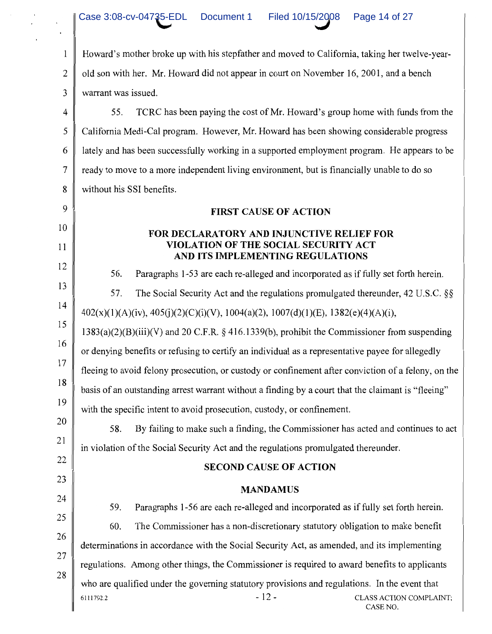Case 3:08-cv-04735-EDL Document 1 Filed 10/15/2008 Page 14 of 27Howard's mother broke up with his stepfather and moved to California, taking her twelve-year- $\mathbf{1}$  $\overline{2}$ old son with her. Mr. Howard did not appear in court on November 16, 2001, and a bench  $\overline{3}$ warrant was issued. 4 55. TCRC has been paying the cost of Mr. Howard's group home with funds from the 5 California Medi-Cal program. However, Mr. Howard has been showing considerable progress 6 lately and has been successfully working in a supported employment program. He appears to be 7 ready to move to a more independent living environment, but is financially unable to do so 8 without his SSI benefits. 9 **FIRST CAUSE OF ACTION** 10 FOR DECLARATORY AND INJUNCTIVE RELIEF FOR VIOLATION OF THE SOCIAL SECURITY ACT 11 AND ITS IMPLEMENTING REGULATIONS 12 56. Paragraphs 1-53 are each re-alleged and incorporated as if fully set forth herein. 13 57. The Social Security Act and the regulations promulgated thereunder, 42 U.S.C. §§  $14$  $402(x)(1)(A)(iv)$ ,  $405(i)(2)(C)(i)(V)$ ,  $1004(a)(2)$ ,  $1007(d)(1)(E)$ ,  $1382(e)(4)(A)(i)$ , 15  $1383(a)(2)(B)(iii)(V)$  and 20 C.F.R. § 416.1339(b), prohibit the Commissioner from suspending 16 or denying benefits or refusing to certify an individual as a representative payee for allegedly 17 fleeing to avoid felony prosecution, or custody or confinement after conviction of a felony, on the 18 basis of an outstanding arrest warrant without a finding by a court that the claimant is "fleeing" 19 with the specific intent to avoid prosecution, custody, or confinement. 20 58. By failing to make such a finding, the Commissioner has acted and continues to act 21 in violation of the Social Security Act and the regulations promulgated thereunder. 22 **SECOND CAUSE OF ACTION** 23 **MANDAMUS** 24 59. Paragraphs 1-56 are each re-alleged and incorporated as if fully set forth herein. 25 60. The Commissioner has a non-discretionary statutory obligation to make benefit 26 determinations in accordance with the Social Security Act, as amended, and its implementing 27 regulations. Among other things, the Commissioner is required to award benefits to applicants 28 who are qualified under the governing statutory provisions and regulations. In the event that

 $-12-$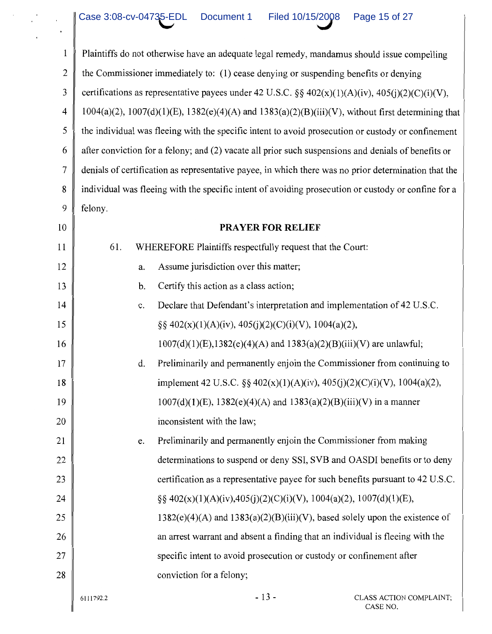| 1              | Plaintiffs do not otherwise have an adequate legal remedy, mandamus should issue compelling                   |  |  |  |  |
|----------------|---------------------------------------------------------------------------------------------------------------|--|--|--|--|
| $\overline{2}$ | the Commissioner immediately to: (1) cease denying or suspending benefits or denying                          |  |  |  |  |
| 3              | certifications as representative payees under 42 U.S.C. §§ $402(x)(1)(A)(iv)$ , $405(j)(2)(C)(i)(V)$ ,        |  |  |  |  |
| 4              | $1004(a)(2)$ , $1007(d)(1)(E)$ , $1382(e)(4)(A)$ and $1383(a)(2)(B)(iii)(V)$ , without first determining that |  |  |  |  |
| 5              | the individual was fleeing with the specific intent to avoid prosecution or custody or confinement            |  |  |  |  |
| 6              | after conviction for a felony; and (2) vacate all prior such suspensions and denials of benefits or           |  |  |  |  |
| 7              | denials of certification as representative payee, in which there was no prior determination that the          |  |  |  |  |
| 8              | individual was fleeing with the specific intent of avoiding prosecution or custody or confine for a           |  |  |  |  |
| 9              | felony.                                                                                                       |  |  |  |  |
| 10             | <b>PRAYER FOR RELIEF</b>                                                                                      |  |  |  |  |
| 11             | 61.<br>WHEREFORE Plaintiffs respectfully request that the Court:                                              |  |  |  |  |
| 12             | Assume jurisdiction over this matter;<br>a.                                                                   |  |  |  |  |
| 13             | Certify this action as a class action;<br>b.                                                                  |  |  |  |  |
| 14             | Declare that Defendant's interpretation and implementation of 42 U.S.C.<br>$\mathbf{c}$ .                     |  |  |  |  |
| 15             | $\S\S 402(x)(1)(A)(iv), 405(j)(2)(C)(i)(V), 1004(a)(2),$                                                      |  |  |  |  |
| 16             | $1007(d)(1)(E)$ , $1382(e)(4)(A)$ and $1383(a)(2)(B)(iii)(V)$ are unlawful;                                   |  |  |  |  |
| 17             | Preliminarily and permanently enjoin the Commissioner from continuing to<br>d.                                |  |  |  |  |
| 18             | implement 42 U.S.C. §§ 402(x)(1)(A)(iv), 405(j)(2)(C)(i)(V), 1004(a)(2),                                      |  |  |  |  |
| 19             | $1007(d)(1)(E)$ , $1382(e)(4)(A)$ and $1383(a)(2)(B)(iii)(V)$ in a manner                                     |  |  |  |  |
| 20             | inconsistent with the law;                                                                                    |  |  |  |  |
| 21             | Preliminarily and permanently enjoin the Commissioner from making<br>e.                                       |  |  |  |  |
| 22             | determinations to suspend or deny SSI, SVB and OASDI benefits or to deny                                      |  |  |  |  |
| 23             | certification as a representative payee for such benefits pursuant to 42 U.S.C.                               |  |  |  |  |
| 24             | $\S\S 402(x)(1)(A)(iv),405(j)(2)(C)(i)(V), 1004(a)(2), 1007(d)(1)(E),$                                        |  |  |  |  |
| 25             | $1382(e)(4)(A)$ and $1383(a)(2)(B)(iii)(V)$ , based solely upon the existence of                              |  |  |  |  |
| 26             | an arrest warrant and absent a finding that an individual is fleeing with the                                 |  |  |  |  |
| 27             | specific intent to avoid prosecution or custody or confinement after                                          |  |  |  |  |
| 28             | conviction for a felony;                                                                                      |  |  |  |  |
|                | $-13-$<br><b>CLASS ACTION COMPLAINT:</b><br>6111792.2                                                         |  |  |  |  |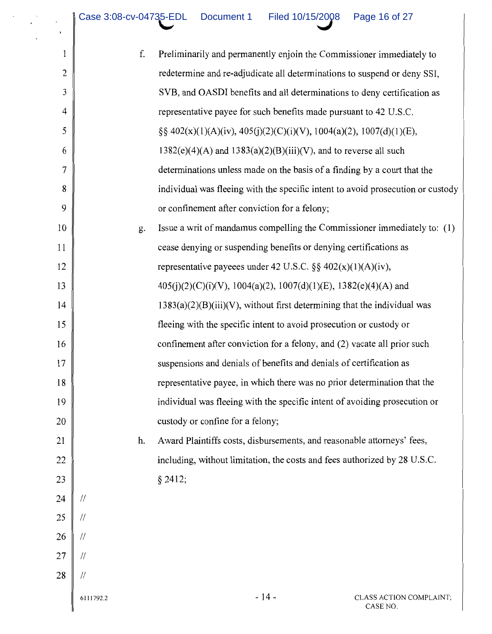| 1  |               | f. | Preliminarily and permanently enjoin the Commissioner immediately to            |                                    |
|----|---------------|----|---------------------------------------------------------------------------------|------------------------------------|
| 2  |               |    | redetermine and re-adjudicate all determinations to suspend or deny SSI,        |                                    |
| 3  |               |    | SVB, and OASDI benefits and all determinations to deny certification as         |                                    |
| 4  |               |    | representative payee for such benefits made pursuant to 42 U.S.C.               |                                    |
| 5  |               |    | $\S\S 402(x)(1)(A)(iv), 405(j)(2)(C)(i)(V), 1004(a)(2), 1007(d)(1)(E),$         |                                    |
| 6  |               |    | $1382(e)(4)(A)$ and $1383(a)(2)(B)(iii)(V)$ , and to reverse all such           |                                    |
| 7  |               |    | determinations unless made on the basis of a finding by a court that the        |                                    |
| 8  |               |    | individual was fleeing with the specific intent to avoid prosecution or custody |                                    |
| 9  |               |    | or confinement after conviction for a felony;                                   |                                    |
| 10 |               | g. | Issue a writ of mandamus compelling the Commissioner immediately to: (1)        |                                    |
| 11 |               |    | cease denying or suspending benefits or denying certifications as               |                                    |
| 12 |               |    | representative payeees under 42 U.S.C. $\S\S 402(x)(1)(A)(iv)$ ,                |                                    |
| 13 |               |    | $405(j)(2)(C)(i)(V)$ , $1004(a)(2)$ , $1007(d)(1)(E)$ , $1382(e)(4)(A)$ and     |                                    |
| 14 |               |    | $1383(a)(2)(B)(iii)(V)$ , without first determining that the individual was     |                                    |
| 15 |               |    | fleeing with the specific intent to avoid prosecution or custody or             |                                    |
| 16 |               |    | confinement after conviction for a felony, and (2) vacate all prior such        |                                    |
| 17 |               |    | suspensions and denials of benefits and denials of certification as             |                                    |
| 18 |               |    | representative payee, in which there was no prior determination that the        |                                    |
| 19 |               |    | individual was fleeing with the specific intent of avoiding prosecution or      |                                    |
| 20 |               |    | custody or confine for a felony;                                                |                                    |
| 21 |               | h. | Award Plaintiffs costs, disbursements, and reasonable attorneys' fees,          |                                    |
| 22 |               |    | including, without limitation, the costs and fees authorized by 28 U.S.C.       |                                    |
| 23 |               |    | $§$ 2412;                                                                       |                                    |
| 24 | $\frac{1}{2}$ |    |                                                                                 |                                    |
| 25 | $\frac{1}{2}$ |    |                                                                                 |                                    |
| 26 | //            |    |                                                                                 |                                    |
| 27 | //            |    |                                                                                 |                                    |
| 28 | $\frac{1}{2}$ |    |                                                                                 |                                    |
|    | 6111792.2     |    | $-14-$                                                                          | CLASS ACTION COMPLAINT;<br>CAST NO |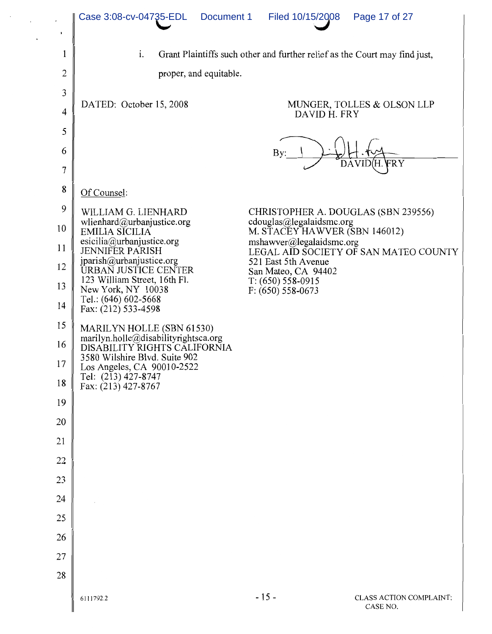| $\bullet$       | Case 3:08-cv-04735-EDL<br>Document 1                                                                                     | Page 17 of 27<br>Filed 10/15/2008                                                                |
|-----------------|--------------------------------------------------------------------------------------------------------------------------|--------------------------------------------------------------------------------------------------|
| 1<br>2          | i.<br>proper, and equitable.                                                                                             | Grant Plaintiffs such other and further relief as the Court may find just,                       |
| 3<br>4          | DATED: October 15, 2008                                                                                                  | MUNGER, TOLLES & OLSON LLP                                                                       |
| 5               |                                                                                                                          | DAVID H. FRY                                                                                     |
| 6<br>7          |                                                                                                                          | By:<br>FRY                                                                                       |
| 8               | Of Counsel:                                                                                                              |                                                                                                  |
| 9<br>10         | WILLIAM G. LIENHARD<br>wlienhard@urbanjustice.org<br><b>EMILIA SICILIA</b>                                               | CHRISTOPHER A. DOUGLAS (SBN 239556)<br>cdouglas@legalaidsmc.org<br>M. STACEY HAWVER (SBN 146012) |
| 11              | esicilia@urbanjustice.org<br><b>JENNIFER PARISH</b><br>jparish@urbanjustice.org                                          | mshawver@legalaidsmc.org<br>LEGAL AID SOCIETY OF SAN MATEO COUNTY<br>521 East 5th Avenue         |
| 12<br>13<br>14  | ÚRBAŇ JUSTICE CENTER<br>123 William Street, 16th Fl.<br>New York, NY 10038<br>Tel.: (646) 602-5668                       | San Mateo, CA 94402<br>$T: (650) 558-0915$<br>$F: (650) 558-0673$                                |
| 15<br>16        | Fax: (212) 533-4598<br>MARILYN HOLLE (SBN 61530)<br>marilyn.holle@disabilityrightsca.org<br>DISABILITY RIGHTS CĂLIFORNIA |                                                                                                  |
| 17              | 3580 Wilshire Blvd. Suite 902<br>Los Angeles, CA 90010-2522<br>Tel: (213) 427-8747                                       |                                                                                                  |
| 18<br>19        | Fax: (213) 427-8767                                                                                                      |                                                                                                  |
| 20              |                                                                                                                          |                                                                                                  |
| $\overline{21}$ |                                                                                                                          |                                                                                                  |
| 22<br>23        |                                                                                                                          |                                                                                                  |
| 24              |                                                                                                                          |                                                                                                  |
| 25              |                                                                                                                          |                                                                                                  |
| 26              |                                                                                                                          |                                                                                                  |
| 27<br>28        |                                                                                                                          |                                                                                                  |
|                 |                                                                                                                          |                                                                                                  |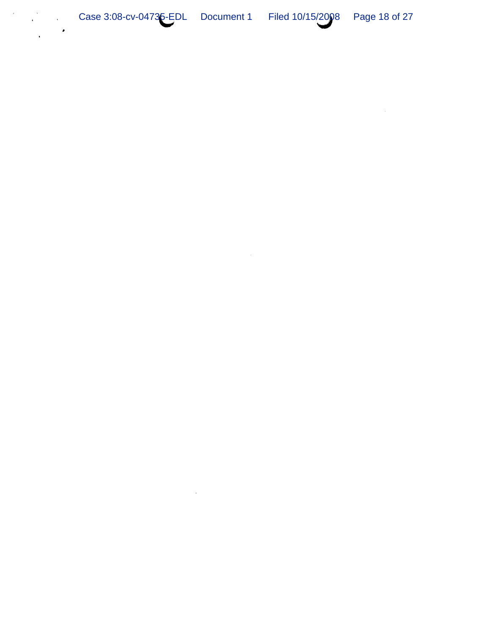Case 3:08-cv-04736-EDL Document 1 Filed 10/15/2008 Page 18 of 27

 $\mathcal{L}^{\text{max}}_{\text{max}}$  and  $\mathcal{L}^{\text{max}}_{\text{max}}$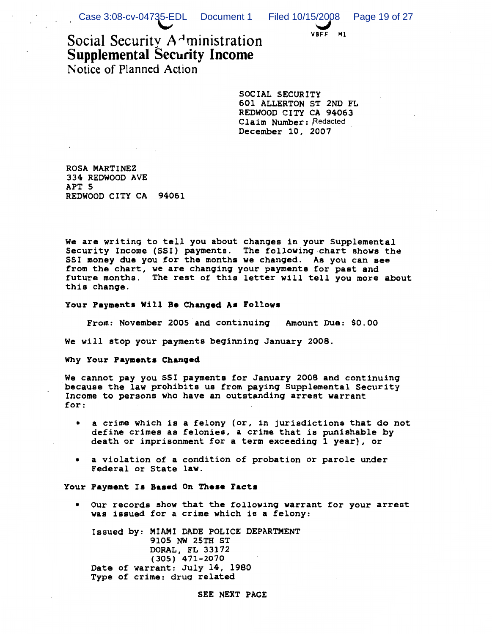VBFF M1

# Social Security  $A<sup>A</sup>$ ministration **Supplemental Security Income** Notice of Planned Action

SOCIAL SECURITY 601 ALLERTON ST 2ND FL REDWOOD CITY CA 94063 Claim Number: Redacted December 10, 2007

ROSA MARTINEZ 334 REDWOOD AVE APT 5 REDWOOD CITY CA 94061

We are writing to tell you about changes in your Supplemental Security Income (SSI) payments. The following chart shows the SSI money due you for the months we changed. As you can see from the chart, we are changing your payments for past and future months. The rest of this letter will tell you more about this change.

#### Your Payments Will Be Changed As Follows

From: November 2005 and continuing Amount Due: \$0.00

We will stop your payments beginning January 2008.

#### Why Your Payments Changed

We cannot pay you SSI payments for January 2008 and continuing because the law prohibits us from paying Supplemental Security Income to persons who have an outstanding arrest warrant for:

- a crime which is a felony (or, in jurisdictions that do not define crimes as felonies, a crime that is punishable by death or imprisonment for a term exceeding 1 year), or
- a violation of a condition of probation or parole under Federal or State law.

#### Your Payment Is Based On These Facts

Our records show that the following warrant for your arrest was issued for a crime which is a felony:

Issued by: MIAMI DADE POLICE DEPARTMENT 9105 NW 25TH ST DORAL, FL 33172  $(305)$  471-2070 Date of warrant: July 14, 1980 Type of crime: drug related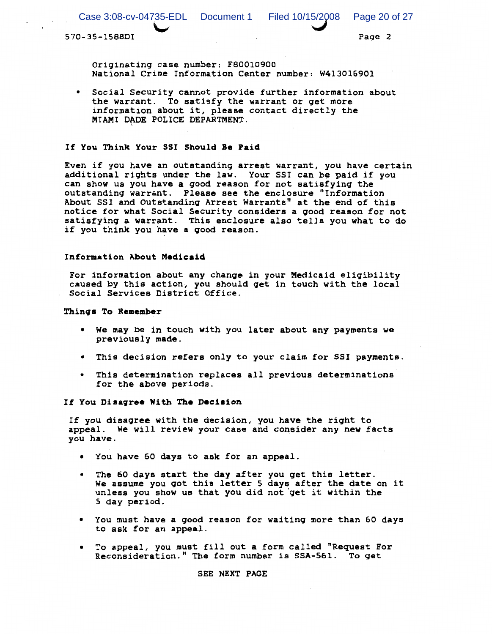Document 1

570-35-1588DI

Page 2

Originating case number: F80010900 National Crime Information Center number: W413016901

Social Security cannot provide further information about the warrant. To satisfy the warrant or get more information about it, please contact directly the MIAMI DADE POLICE DEPARTMENT.

### If You Think Your SSI Should Be Paid

Even if you have an outstanding arrest warrant, you have certain additional rights under the law. Your SSI can be paid if you can show us you have a good reason for not satisfying the outstanding warrant. Please see the enclosure "Information About SSI and Outstanding Arrest Warrants" at the end of this notice for what Social Security considers a good reason for not satisfying a warrant. This enclosure also tells you what to do if you think you have a good reason.

#### Information About Medicaid

For information about any change in your Medicaid eligibility caused by this action, you should get in touch with the local Social Services District Office.

#### Things To Remember

- . We may be in touch with you later about any payments we previously made.
- . This decision refers only to your claim for SSI payments.
- . This determination replaces all previous determinations for the above periods.

#### If You Disagree With The Decision

If you disagree with the decision, you have the right to appeal. We will review your case and consider any new facts you have.

- You have 60 days to ask for an appeal.
- The 60 days start the day after you get this letter. We assume you got this letter 5 days after the date on it unless you show us that you did not get it within the 5 day period.
- . You must have a good reason for waiting more than 60 days to ask for an appeal.
- To appeal, you must fill out a form called "Request For Reconsideration." The form number is SSA-561. To get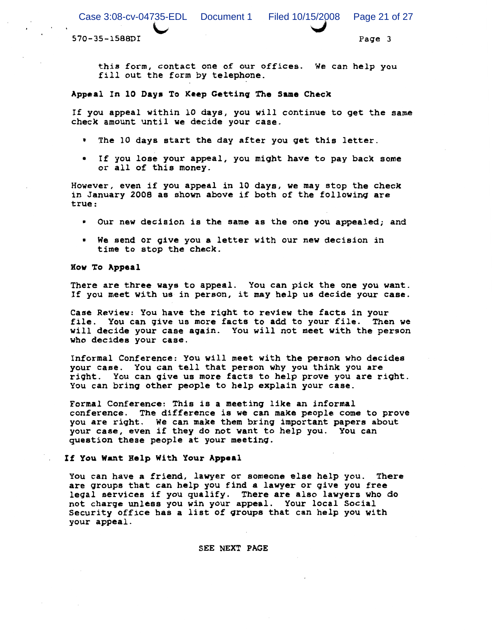Case 3:08-cv-04735-EDL Document 1 Filed 10/15/2008

570-35-1588DI

Page 3

Page 21 of 27

this form, contact one of our offices. We can help you fill out the form by telephone.

#### Appeal In 10 Days To Keep Getting The Same Check

If you appeal within 10 days, you will continue to get the same check amount until we decide your case.

- The 10 days start the day after you get this letter.
- . If you lose your appeal, you might have to pay back some or all of this money.

However, even if you appeal in 10 days, we may stop the check in January 2008 as shown above if both of the following are true:

- Our new decision is the same as the one you appealed; and
- . We send or give you a letter with our new decision in time to stop the check.

#### How To Appeal

There are three ways to appeal. You can pick the one you want. If you meet with us in person, it may help us decide your case.

Case Review: You have the right to review the facts in your file. You can give us more facts to add to your file. Then we will decide your case again. You will not meet with the person who decides your case.

Informal Conference: You will meet with the person who decides your case. You can tell that person why you think you are right. You can give us more facts to help prove you are right. You can bring other people to help explain your case.

Formal Conference: This is a meeting like an informal conference. The difference is we can make people come to prove you are right. We can make them bring important papers about your case, even if they do not want to help you. You can question these people at your meeting.

#### If You Want Help With Your Appeal

You can have a friend, lawyer or someone else help you. There are groups that can help you find a lawyer or give you free legal services if you qualify. There are also lawyers who do not charge unless you win your appeal. Your local Social Security office has a list of groups that can help you with your appeal.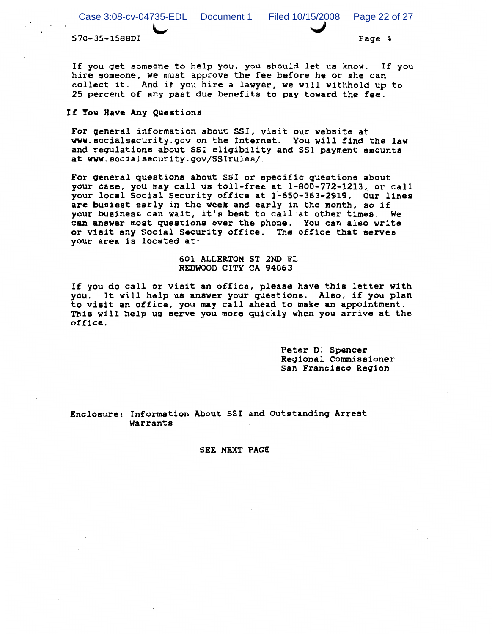Case 3:08-cv-04735-EDL Document 1 Filed 10/15/2008 Page 22 of 27

570-35-1588DI

Page 4

If you get someone to help you, you should let us know. If you hire someone, we must approve the fee before he or she can collect it. And if you hire a lawyer, we will withhold up to 25 percent of any past due benefits to pay toward the fee.

#### If You Have Any Questions

For general information about SSI, visit our website at www.socialsecurity.gov on the Internet. You will find the law and regulations about SSI eligibility and SSI payment amounts at www.socialsecurity.gov/SSIrules/.

For general questions about SSI or specific questions about your case, you may call us toll-free at 1-800-772-1213, or call your local Social Security office at 1-650-363-2919. Our lines are busiest early in the week and early in the month, so if your business can wait, it's best to call at other times. We can answer most questions over the phone. You can also write or visit any Social Security office. The office that serves your area is located at:

#### 601 ALLERTON ST 2ND FL REDWOOD CITY CA 94063

If you do call or visit an office, please have this letter with you. It will help us answer your questions. Also, if you plan to visit an office, you may call ahead to make an appointment. This will help us serve you more quickly when you arrive at the office.

> Peter D. Spencer Regional Commissioner San Francisco Region

Enclosure: Information About SSI and Outstanding Arrest Warrants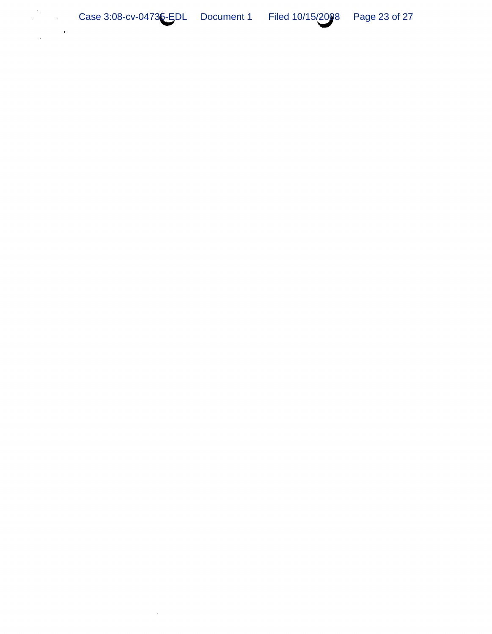

 $\sim 10^6$ 



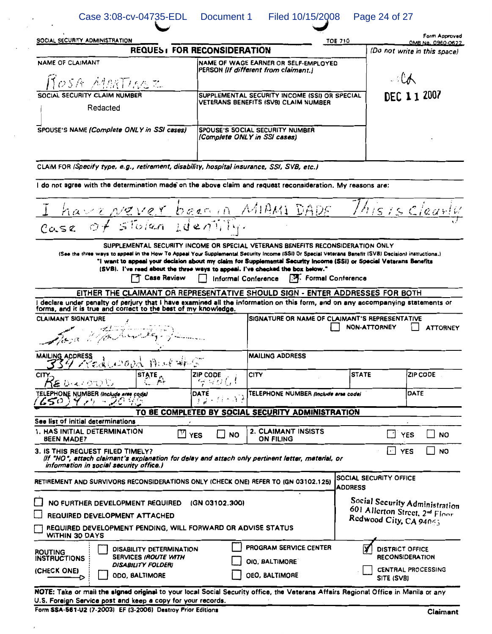|                                                                                                                                                                                                   |                                                                                |                     | Case 3:08-cv-04735-EDL  Document 1  Filed 10/15/2008                                                                                                                                                                                                                                                                                     |                     | Page 24 of 27                                                                              |
|---------------------------------------------------------------------------------------------------------------------------------------------------------------------------------------------------|--------------------------------------------------------------------------------|---------------------|------------------------------------------------------------------------------------------------------------------------------------------------------------------------------------------------------------------------------------------------------------------------------------------------------------------------------------------|---------------------|--------------------------------------------------------------------------------------------|
| SOCIAL SECURITY ADMINISTRATION                                                                                                                                                                    |                                                                                |                     |                                                                                                                                                                                                                                                                                                                                          | <b>TOE 710</b>      | Form Approved<br>OMB No. 0960-0622                                                         |
|                                                                                                                                                                                                   | <b>REQUES I FOR RECONSIDERATION</b>                                            |                     |                                                                                                                                                                                                                                                                                                                                          |                     | (Do not write in this space)                                                               |
| <b>NAME OF CLAIMANT</b><br>Rosa MmTunse<br>SOCIAL SECURITY CLAIM NUMBER                                                                                                                           |                                                                                |                     | NAME OF WAGE EARNER OR SELF-EMPLOYED<br>PERSON (If different from claimant.)<br>SUPPLEMENTAL SECURITY INCOME (SSI) OR SPECIAL<br>VETERANS BENEFITS (SVB) CLAIM NUMBER                                                                                                                                                                    |                     | $\cdot$ CA<br>DEC 11 2007                                                                  |
| Redacted<br>SPOUSE'S NAME (Complete ONLY in SSI cases)                                                                                                                                            |                                                                                |                     | SPOUSE'S SOCIAL SECURITY NUMBER<br>(Complete ONLY in SSI cases)                                                                                                                                                                                                                                                                          |                     |                                                                                            |
| CLAIM FOR (Specify type, e.g., retirement, disability, hospital insurance, SSI, SVB, etc.)                                                                                                        |                                                                                |                     |                                                                                                                                                                                                                                                                                                                                          |                     |                                                                                            |
| I do not agree with the determination made on the above claim and request reconsideration. My reasons are:<br><u>I have never been in MIAMI DADE</u> This is clearly<br>case of stolen Identity.  |                                                                                |                     |                                                                                                                                                                                                                                                                                                                                          |                     |                                                                                            |
| I declare under penalty of perjury that I have examined all the information on this form, and on any accompanying statements or<br>forms, and it is true and correct to the best of my knowledge. | Case Review                                                                    |                     | "I want to appeal your decision about my claim for Supplemental Security Income (SSI) or Special Veterans Benefits<br>(SVB). I've read about the three weys to appeal. I've checked the box below."<br><b>图 Formal Conference</b><br>Informal Conference<br>EITHER THE CLAIMANT OR REPRESENTATIVE SHOULD SIGN - ENTER ADDRESSES FOR BOTH |                     |                                                                                            |
| <b>CLAIMANT SIGNATURE</b><br>on of the hunder ? -                                                                                                                                                 |                                                                                |                     | SIGNATURE OR NAME OF CLAIMANT'S REPRESENTATIVE<br><b>MAILING ADDRESS</b>                                                                                                                                                                                                                                                                 | <b>NON-ATTORNEY</b> | <b>ATTORNEY</b>                                                                            |
| MAILING ADDRESS & wood Author<br>$CITY_2$                                                                                                                                                         | $\overline{\text{STATE}}_{\text{A}}$                                           | <b>ZIP CODE</b>     | <b>CITY</b>                                                                                                                                                                                                                                                                                                                              | <b>STATE</b>        | ZIP CODE                                                                                   |
| E DU OD D<br>TELEPHONE NUMBER (include area code)                                                                                                                                                 |                                                                                | 94061<br>DATE       | TELEPHONE NUMBER (Include area code)                                                                                                                                                                                                                                                                                                     |                     | DATE                                                                                       |
| イマケー スクシウ<br>650                                                                                                                                                                                  |                                                                                | $f = -f(-\Delta)^2$ |                                                                                                                                                                                                                                                                                                                                          |                     |                                                                                            |
|                                                                                                                                                                                                   |                                                                                |                     | TO BE COMPLETED BY SOCIAL SECURITY ADMINISTRATION                                                                                                                                                                                                                                                                                        |                     |                                                                                            |
| See list of initial determinations<br>1. HAS INITIAL DETERMINATION<br><b>BEEN MADE?</b>                                                                                                           | $\mathbb{M}$ yes                                                               | <b>NO</b>           | 2. CLAIMANT INSISTS<br>ON FILING                                                                                                                                                                                                                                                                                                         |                     | -1<br><b>YES</b><br>$\blacksquare$<br><b>NO</b>                                            |
| 3. IS THIS REQUEST FILED TIMELY?<br>(If "NO", attach claimant's explanation for delay and attach only pertinent letter, material, or<br>information in social security office.)                   |                                                                                |                     |                                                                                                                                                                                                                                                                                                                                          |                     | ĿП<br><b>YES</b><br><b>NO</b>                                                              |
| RETIREMENT AND SURVIVORS RECONSIDERATIONS ONLY (CHECK ONE) REFER TO (GN 03102.125)                                                                                                                |                                                                                |                     |                                                                                                                                                                                                                                                                                                                                          | <b>ADDRESS</b>      | <b>SOCIAL SECURITY OFFICE</b>                                                              |
| NO FURTHER DEVELOPMENT REQUIRED<br>REQUIRED DEVELOPMENT ATTACHED<br>REQUIRED DEVELOPMENT PENDING, WILL FORWARD OR ADVISE STATUS<br>WITHIN 30 DAYS                                                 |                                                                                | (GN 03102.300)      |                                                                                                                                                                                                                                                                                                                                          |                     | Social Security Administration<br>601 Allerton Street, 2nd Floor<br>Redwood City, CA 94065 |
| <b>ROUTING</b><br><b>INSTRUCTIONS</b><br>(CHECK ONE)                                                                                                                                              | DISABILITY DETERMINATION<br>SERVICES ( <i>ROUTE WITH</i><br>DISABILITY FOLDERI |                     | PROGRAM SERVICE CENTER<br>OIO, BALTIMORE                                                                                                                                                                                                                                                                                                 | IY                  | <b>DISTRICT OFFICE</b><br><b>RECONSIDERATION</b><br><b>CENTRAL PROCESSING</b>              |
| Ð<br>NOTE: Take or mail the signed original to your local Social Security office, the Veterans Affairs Regional Office in Manila or any                                                           | ODO, BALTIMORE                                                                 |                     | OEO, BALTIMORE                                                                                                                                                                                                                                                                                                                           |                     | SITE (SVB)                                                                                 |

Form SSA-561-U2 (7-2003) EF (3-2006) Destroy Prior Editions

 $\bar{I}$ 

 $\sim$ 

 $\overline{\phantom{a}}$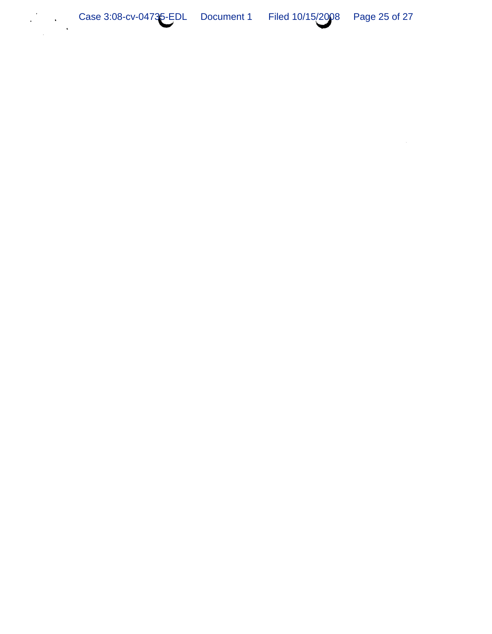



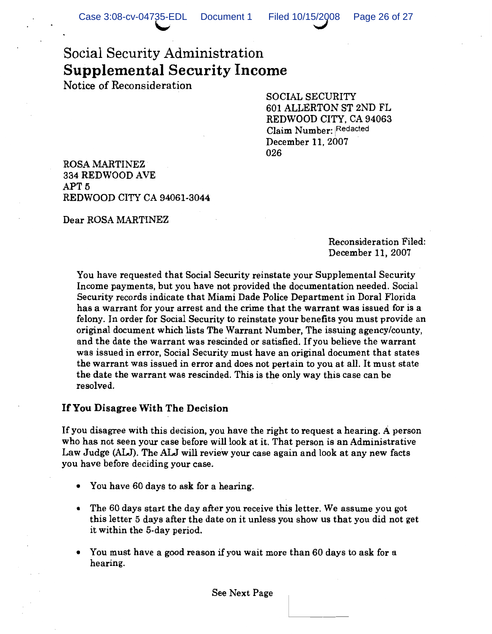Page 26 of 27

# Social Security Administration **Supplemental Security Income**

Notice of Reconsideration

**SOCIAL SECURITY** 601 ALLERTON ST 2ND FL REDWOOD CITY, CA 94063 Claim Number: Redacted December 11, 2007 026

**ROSA MARTINEZ** 334 REDWOOD AVE APT<sub>5</sub> REDWOOD CITY CA 94061-3044

### Dear ROSA MARTINEZ

Reconsideration Filed: December 11, 2007

You have requested that Social Security reinstate your Supplemental Security Income payments, but you have not provided the documentation needed. Social Security records indicate that Miami Dade Police Department in Doral Florida has a warrant for your arrest and the crime that the warrant was issued for is a felony. In order for Social Security to reinstate your benefits you must provide an original document which lists The Warrant Number, The issuing agency/county, and the date the warrant was rescinded or satisfied. If you believe the warrant was issued in error, Social Security must have an original document that states the warrant was issued in error and does not pertain to you at all. It must state the date the warrant was rescinded. This is the only way this case can be resolved.

## If You Disagree With The Decision

If you disagree with this decision, you have the right to request a hearing. A person who has not seen your case before will look at it. That person is an Administrative Law Judge (ALJ). The ALJ will review your case again and look at any new facts you have before deciding your case.

- You have 60 days to ask for a hearing.
- The 60 days start the day after you receive this letter. We assume you got this letter 5 days after the date on it unless you show us that you did not get it within the 5-day period.
- You must have a good reason if you wait more than 60 days to ask for a hearing.